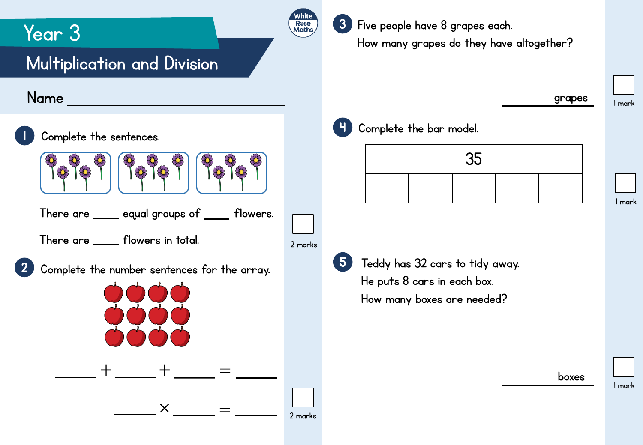